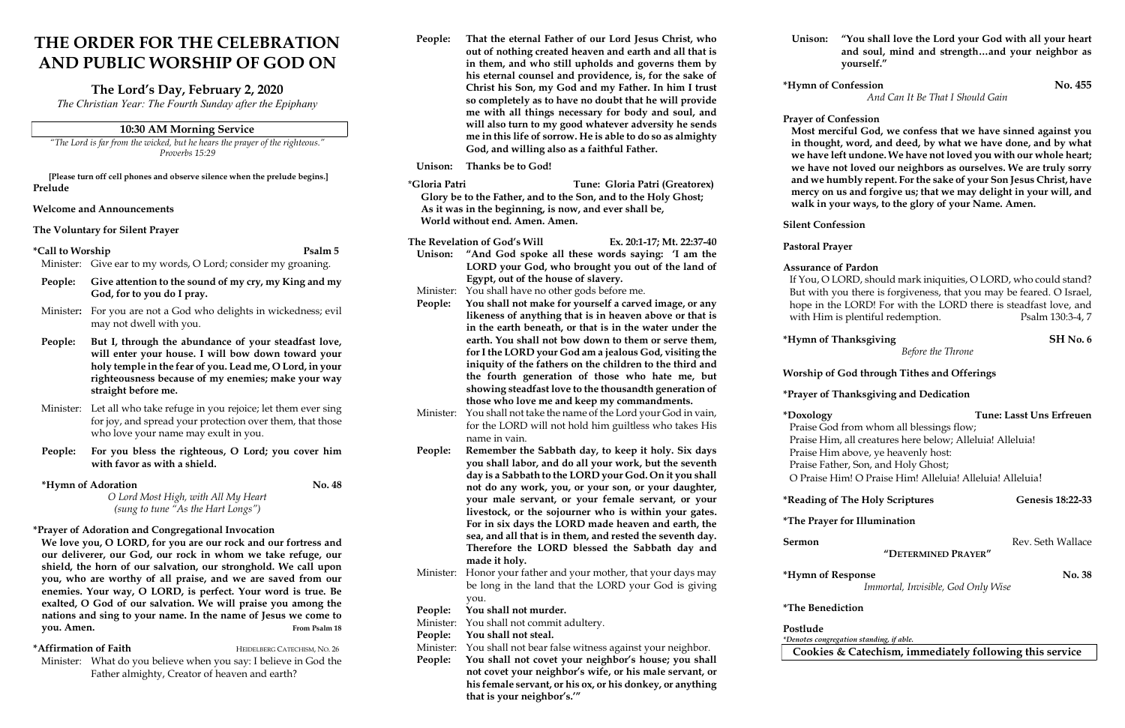# THE ORDER FOR THE CELEBRATION AND PUBLIC WORSHIP OF GOD ON

## The Lord's Day, February 2, 2020

The Christian Year: The Fourth Sunday after the Epiphany

## 10:30 AM Morning Service

"The Lord is far from the wicked, but he hears the prayer of the righteous." Proverbs 15:29

[Please turn off cell phones and observe silence when the prelude begins.] Prelude

## Welcome and Announcements

The Voluntary for Silent Prayer

#### \*Call to Worship Psalm 5

Minister: Give ear to my words, O Lord; consider my groaning.

We love you, O LORD, for you are our rock and our fortress and our deliverer, our God, our rock in whom we take refuge, our shield, the horn of our salvation, our stronghold. We call upon you, who are worthy of all praise, and we are saved from our enemies. Your way, O LORD, is perfect. Your word is true. Be exalted, O God of our salvation. We will praise you among the nations and sing to your name. In the name of Jesus we come to vou. Amen. From Psalm 18

- People: Give attention to the sound of my cry, my King and my God, for to you do I pray.
- Minister: For you are not a God who delights in wickedness; evil may not dwell with you.
- People: But I, through the abundance of your steadfast love, will enter your house. I will bow down toward your holy temple in the fear of you. Lead me, O Lord, in your righteousness because of my enemies; make your way straight before me.
- Minister: Let all who take refuge in you rejoice; let them ever sing for joy, and spread your protection over them, that those who love your name may exult in you.
- People: For you bless the righteous, O Lord; you cover him with favor as with a shield.

## \*Hymn of Adoration No. 48

\*Affirmation of Faith HEIDELBERG CATECHISM, NO. 26 Minister: What do you believe when you say: I believe in God the Father almighty, Creator of heaven and earth?

O Lord Most High, with All My Heart (sung to tune "As the Hart Longs")

#### \*Prayer of Adoration and Congregational Invocation

People: That the eternal Father of our Lord Jesus Christ, who out of nothing created heaven and earth and all that is in them, and who still upholds and governs them by his eternal counsel and providence, is, for the sake of Christ his Son, my God and my Father. In him I trust so completely as to have no doubt that he will provide me with all things necessary for body and soul, and will also turn to my good whatever adversity he sends me in this life of sorrow. He is able to do so as almighty God, and willing also as a faithful Father.

Unison: Thanks be to God!

If You, O LORD, should mark iniquities, O LORD, who could stand? But with you there is forgiveness, that you may be feared. O Israel, hope in the LORD! For with the LORD there is steadfast love, and with Him is plentiful redemption. Psalm 130:3-4, 7

- \*Gloria Patri Tune: Gloria Patri (Greatorex) Glory be to the Father, and to the Son, and to the Holy Ghost; As it was in the beginning, is now, and ever shall be, World without end. Amen. Amen.
- The Revelation of God's Will Ex. 20:1-17; Mt. 22:37-40
- Unison: "And God spoke all these words saying: 'I am the LORD your God, who brought you out of the land of Egypt, out of the house of slavery.
- Minister: You shall have no other gods before me.
- People: You shall not make for yourself a carved image, or any likeness of anything that is in heaven above or that is in the earth beneath, or that is in the water under the earth. You shall not bow down to them or serve them, for I the LORD your God am a jealous God, visiting the iniquity of the fathers on the children to the third and the fourth generation of those who hate me, but showing steadfast love to the thousandth generation of those who love me and keep my commandments.
- Minister: You shall not take the name of the Lord your God in vain, for the LORD will not hold him guiltless who takes His name in vain.
- People: Remember the Sabbath day, to keep it holy. Six days you shall labor, and do all your work, but the seventh day is a Sabbath to the LORD your God. On it you shall not do any work, you, or your son, or your daughter, your male servant, or your female servant, or your livestock, or the sojourner who is within your gates. For in six days the LORD made heaven and earth, the sea, and all that is in them, and rested the seventh day. Therefore the LORD blessed the Sabbath day and made it holy. Minister: Honor your father and your mother, that your days may
- be long in the land that the LORD your God is giving you.

People: You shall not murder.

Minister: You shall not commit adultery.

People: You shall not steal.

- Minister: You shall not bear false witness against your neighbor.
- People: You shall not covet your neighbor's house; you shall not covet your neighbor's wife, or his male servant, or his female servant, or his ox, or his donkey, or anything that is your neighbor's.'"

Unison: "You shall love the Lord your God with all your heart and soul, mind and strength…and your neighbor as yourself."

## \*Hymn of Confession No. 455

And Can It Be That I Should Gain

## Prayer of Confession

Most merciful God, we confess that we have sinned against you in thought, word, and deed, by what we have done, and by what we have left undone. We have not loved you with our whole heart; we have not loved our neighbors as ourselves. We are truly sorry and we humbly repent. For the sake of your Son Jesus Christ, have mercy on us and forgive us; that we may delight in your will, and walk in your ways, to the glory of your Name. Amen.

Silent Confession

Pastoral Prayer

\*Hymn of Thanksgiving SH No. 6

## Assurance of Pardon

Before the Throne

## Worship of God through Tithes and Offerings

## \*Prayer of Thanksgiving and Dedication

| *Doxology                                                 | Tune: Lasst Uns Erfreuen |
|-----------------------------------------------------------|--------------------------|
| Praise God from whom all blessings flow;                  |                          |
| Praise Him, all creatures here below; Alleluia! Alleluia! |                          |
| Praise Him above, ye heavenly host:                       |                          |
| Praise Father, Son, and Holy Ghost;                       |                          |
| O Praise Him! O Praise Him! Alleluia! Alleluia! Alleluia! |                          |
|                                                           |                          |

## \*Reading of The Holy Scriptures Genesis 18:22-33

## \*The Prayer for Illumination

## "DETERMINED PRAYER"

## \*Hymn of Response No. 38

Immortal, Invisible, God Only Wise

\*The Benediction

Postlude

\*Denotes congregation standing, if able.

Cookies & Catechism, immediately following this service

Sermon Rev. Seth Wallace